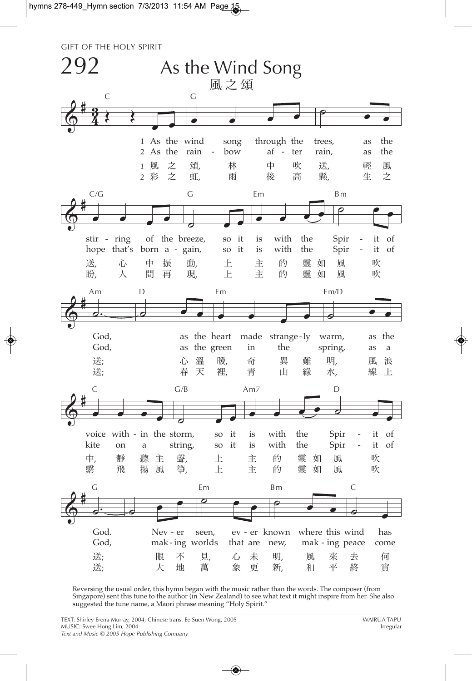## **GIFT OF THE HOLY SPIRIT**



Reversing the usual order, this hymn began with the music rather than the words. The composer (from Singapore) sent this tune to the author (in New Zealand) to see what text it might inspire from her. She also suggested the tune name, a Maori phrase meaning "Holy Spirit."